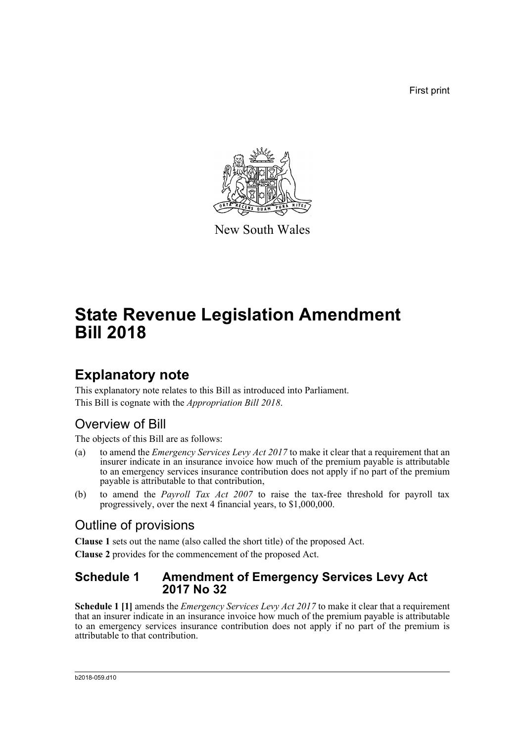First print



New South Wales

# **State Revenue Legislation Amendment Bill 2018**

## **Explanatory note**

This explanatory note relates to this Bill as introduced into Parliament. This Bill is cognate with the *Appropriation Bill 2018*.

### Overview of Bill

The objects of this Bill are as follows:

- (a) to amend the *Emergency Services Levy Act 2017* to make it clear that a requirement that an insurer indicate in an insurance invoice how much of the premium payable is attributable to an emergency services insurance contribution does not apply if no part of the premium payable is attributable to that contribution,
- (b) to amend the *Payroll Tax Act 2007* to raise the tax-free threshold for payroll tax progressively, over the next 4 financial years, to \$1,000,000.

## Outline of provisions

**Clause 1** sets out the name (also called the short title) of the proposed Act.

**Clause 2** provides for the commencement of the proposed Act.

#### **Schedule 1 Amendment of Emergency Services Levy Act 2017 No 32**

**Schedule 1 [1]** amends the *Emergency Services Levy Act 2017* to make it clear that a requirement that an insurer indicate in an insurance invoice how much of the premium payable is attributable to an emergency services insurance contribution does not apply if no part of the premium is attributable to that contribution.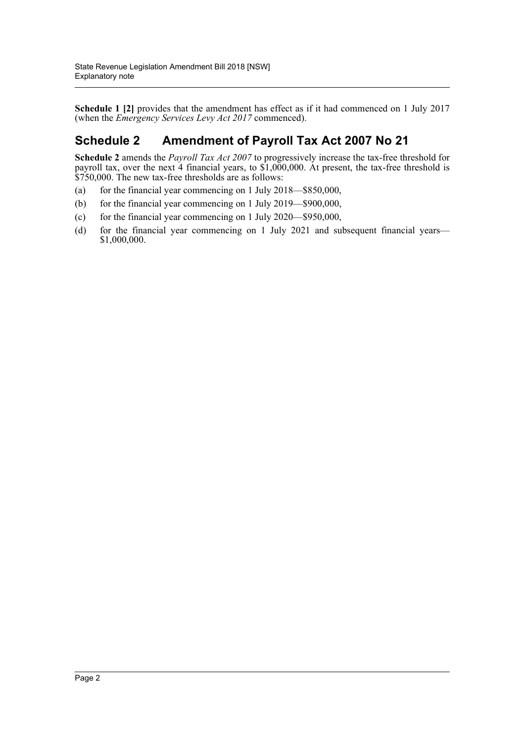**Schedule 1 [2]** provides that the amendment has effect as if it had commenced on 1 July 2017 (when the *Emergency Services Levy Act 2017* commenced).

#### **Schedule 2 Amendment of Payroll Tax Act 2007 No 21**

**Schedule 2** amends the *Payroll Tax Act 2007* to progressively increase the tax-free threshold for payroll tax, over the next 4 financial years, to \$1,000,000. At present, the tax-free threshold is \$750,000. The new tax-free thresholds are as follows:

- (a) for the financial year commencing on 1 July 2018—\$850,000,
- (b) for the financial year commencing on 1 July 2019—\$900,000,
- (c) for the financial year commencing on 1 July 2020—\$950,000,
- (d) for the financial year commencing on 1 July 2021 and subsequent financial years— \$1,000,000.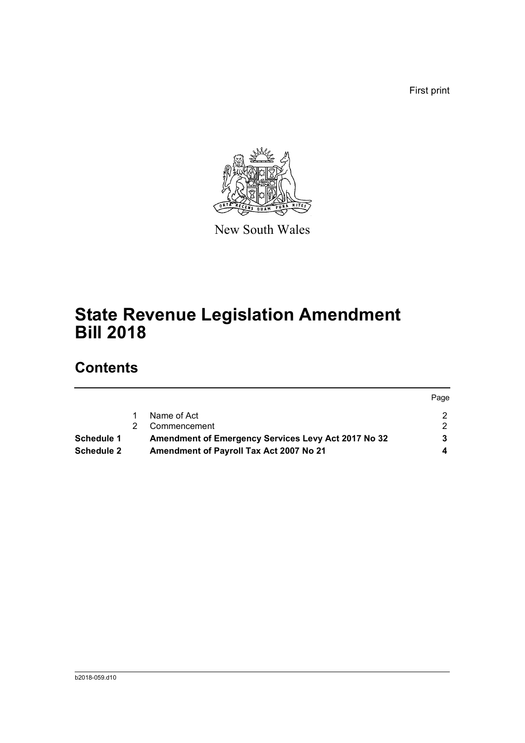First print



New South Wales

# **State Revenue Legislation Amendment Bill 2018**

## **Contents**

|                   |                                                     | Page |
|-------------------|-----------------------------------------------------|------|
|                   | Name of Act                                         |      |
|                   | Commencement                                        |      |
| Schedule 1        | Amendment of Emergency Services Levy Act 2017 No 32 |      |
| <b>Schedule 2</b> | Amendment of Payroll Tax Act 2007 No 21             |      |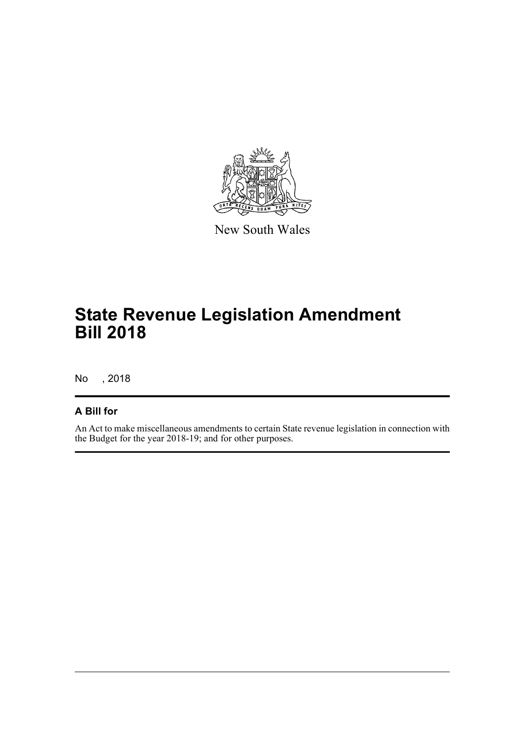

New South Wales

## **State Revenue Legislation Amendment Bill 2018**

No , 2018

#### **A Bill for**

An Act to make miscellaneous amendments to certain State revenue legislation in connection with the Budget for the year 2018-19; and for other purposes.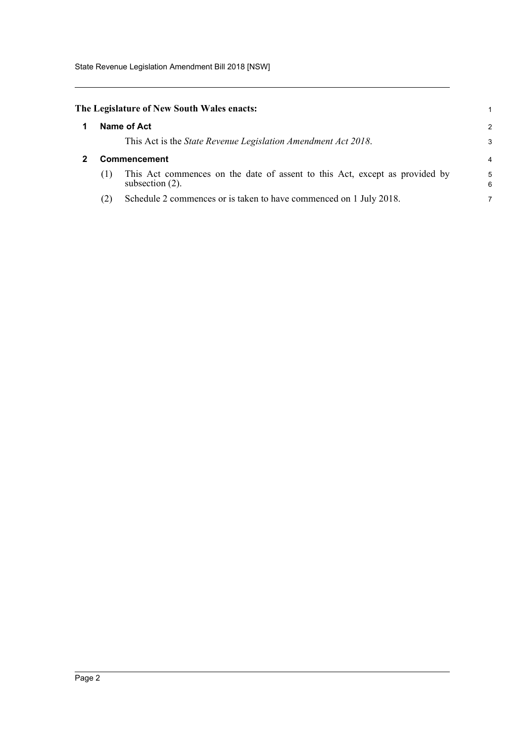State Revenue Legislation Amendment Bill 2018 [NSW]

<span id="page-4-1"></span><span id="page-4-0"></span>

| The Legislature of New South Wales enacts: |                     |                                                                                                   |        |
|--------------------------------------------|---------------------|---------------------------------------------------------------------------------------------------|--------|
|                                            |                     | Name of Act                                                                                       | 2      |
|                                            |                     | This Act is the State Revenue Legislation Amendment Act 2018.                                     | 3      |
|                                            | <b>Commencement</b> |                                                                                                   | 4      |
|                                            | (1)                 | This Act commences on the date of assent to this Act, except as provided by<br>subsection $(2)$ . | 5<br>6 |
|                                            | (2)                 | Schedule 2 commences or is taken to have commenced on 1 July 2018.                                |        |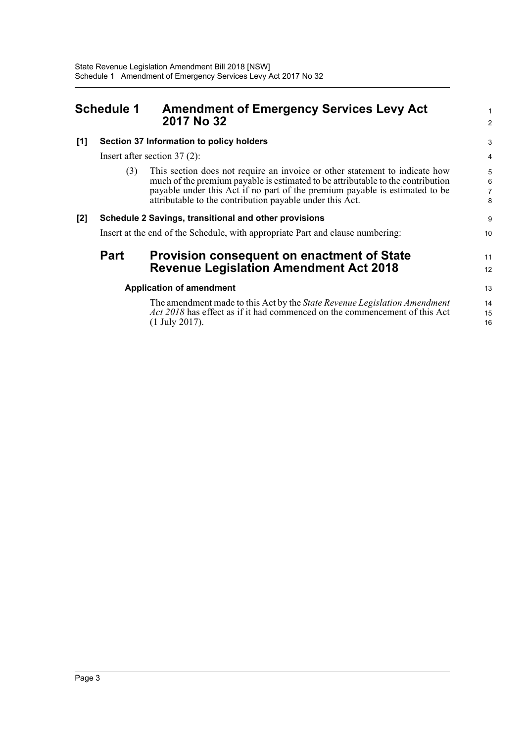<span id="page-5-0"></span>

| <b>Schedule 1</b> |                                 | <b>Amendment of Emergency Services Levy Act</b><br>2017 No 32                                                                                                                                                                                                                                             | $\mathbf{1}$<br>2             |  |
|-------------------|---------------------------------|-----------------------------------------------------------------------------------------------------------------------------------------------------------------------------------------------------------------------------------------------------------------------------------------------------------|-------------------------------|--|
| [1]               |                                 | Section 37 Information to policy holders                                                                                                                                                                                                                                                                  | 3                             |  |
|                   |                                 | Insert after section $37(2)$ :                                                                                                                                                                                                                                                                            | 4                             |  |
|                   | (3)                             | This section does not require an invoice or other statement to indicate how<br>much of the premium payable is estimated to be attributable to the contribution<br>payable under this Act if no part of the premium payable is estimated to be<br>attributable to the contribution payable under this Act. | 5<br>6<br>$\overline{7}$<br>8 |  |
| [2]               |                                 | Schedule 2 Savings, transitional and other provisions                                                                                                                                                                                                                                                     | 9                             |  |
|                   |                                 | Insert at the end of the Schedule, with appropriate Part and clause numbering:                                                                                                                                                                                                                            | 10                            |  |
|                   | <b>Part</b>                     | <b>Provision consequent on enactment of State</b><br><b>Revenue Legislation Amendment Act 2018</b>                                                                                                                                                                                                        | 11<br>12                      |  |
|                   | <b>Application of amendment</b> |                                                                                                                                                                                                                                                                                                           |                               |  |
|                   |                                 | The amendment made to this Act by the State Revenue Legislation Amendment<br>Act 2018 has effect as if it had commenced on the commencement of this Act<br>$(1$ July 2017).                                                                                                                               | 14<br>15<br>16                |  |